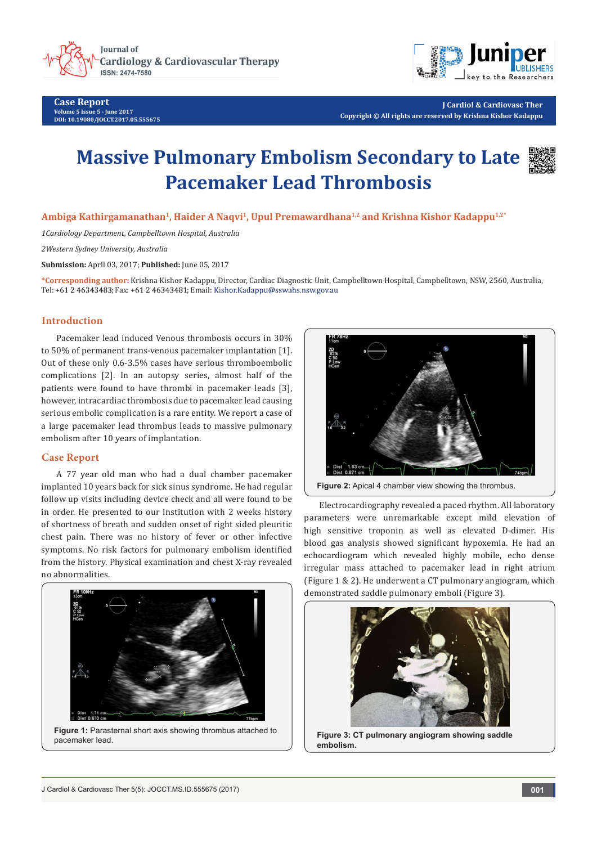

**Case Report Volume 5 Issue 5 - June 2017 DOI: [10.19080/JOCCT.2017.05.555675](http://dx.doi.org/10.19080/JOCCT.2017.05.555675
)**



**J Cardiol & Cardiovasc Ther Copyright © All rights are reserved by Krishna Kishor Kadappu**

# **Massive Pulmonary Embolism Secondary to Late Pacemaker Lead Thrombosis**



**Ambiga Kathirgamanathan1, Haider A Naqvi1, Upul Premawardhana1,2 and Krishna Kishor Kadappu1,2\***

*1Cardiology Department, Campbelltown Hospital, Australia*

*2Western Sydney University, Australia*

**Submission:** April 03, 2017; **Published:** June 05, 2017

**\*Corresponding author:** Krishna Kishor Kadappu, Director, Cardiac Diagnostic Unit, Campbelltown Hospital, Campbelltown, NSW, 2560, Australia, Tel: +61 2 46343483; Fax: +61 2 46343481; Email: Kishor.Kadappu@sswahs.nsw.gov.au

# **Introduction**

Pacemaker lead induced Venous thrombosis occurs in 30% to 50% of permanent trans-venous pacemaker implantation [1]. Out of these only 0.6-3.5% cases have serious thromboembolic complications [2]. In an autopsy series, almost half of the patients were found to have thrombi in pacemaker leads [3], however, intracardiac thrombosis due to pacemaker lead causing serious embolic complication is a rare entity. We report a case of a large pacemaker lead thrombus leads to massive pulmonary embolism after 10 years of implantation.

### **Case Report**

A 77 year old man who had a dual chamber pacemaker implanted 10 years back for sick sinus syndrome. He had regular follow up visits including device check and all were found to be in order. He presented to our institution with 2 weeks history of shortness of breath and sudden onset of right sided pleuritic chest pain. There was no history of fever or other infective symptoms. No risk factors for pulmonary embolism identified from the history. Physical examination and chest X-ray revealed no abnormalities.



**Figure 1:** Parasternal short axis showing thrombus attached to pacemaker lead.



Figure 2: Apical 4 chamber view showing the thrombus.

Electrocardiography revealed a paced rhythm. All laboratory parameters were unremarkable except mild elevation of high sensitive troponin as well as elevated D-dimer. His blood gas analysis showed significant hypoxemia. He had an echocardiogram which revealed highly mobile, echo dense irregular mass attached to pacemaker lead in right atrium (Figure 1 & 2). He underwent a CT pulmonary angiogram, which demonstrated saddle pulmonary emboli (Figure 3).



**Figure 3: CT pulmonary angiogram showing saddle embolism.**